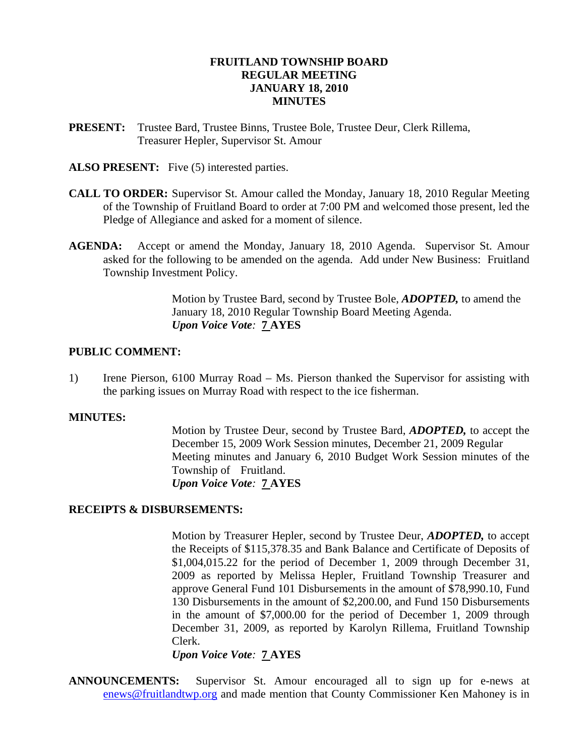## **FRUITLAND TOWNSHIP BOARD REGULAR MEETING JANUARY 18, 2010 MINUTES**

**PRESENT:** Trustee Bard, Trustee Binns, Trustee Bole, Trustee Deur, Clerk Rillema, Treasurer Hepler, Supervisor St. Amour

ALSO PRESENT: Five (5) interested parties.

- **CALL TO ORDER:** Supervisor St. Amour called the Monday, January 18, 2010 Regular Meeting of the Township of Fruitland Board to order at 7:00 PM and welcomed those present, led the Pledge of Allegiance and asked for a moment of silence.
- **AGENDA:** Accept or amend the Monday, January 18, 2010 Agenda. Supervisor St. Amour asked for the following to be amended on the agenda. Add under New Business: Fruitland Township Investment Policy.

 Motion by Trustee Bard, second by Trustee Bole, *ADOPTED,* to amend the January 18, 2010 Regular Township Board Meeting Agenda.  *Upon Voice Vote:* **7 AYES** 

#### **PUBLIC COMMENT:**

1) Irene Pierson, 6100 Murray Road – Ms. Pierson thanked the Supervisor for assisting with the parking issues on Murray Road with respect to the ice fisherman.

#### **MINUTES:**

 Motion by Trustee Deur, second by Trustee Bard, *ADOPTED,* to accept the December 15, 2009 Work Session minutes, December 21, 2009 Regular Meeting minutes and January 6, 2010 Budget Work Session minutes of the Township of Fruitland.  *Upon Voice Vote:* **7 AYES** 

#### **RECEIPTS & DISBURSEMENTS:**

 Motion by Treasurer Hepler, second by Trustee Deur, *ADOPTED,* to accept the Receipts of \$115,378.35 and Bank Balance and Certificate of Deposits of \$1,004,015.22 for the period of December 1, 2009 through December 31, 2009 as reported by Melissa Hepler, Fruitland Township Treasurer and approve General Fund 101 Disbursements in the amount of \$78,990.10, Fund 130 Disbursements in the amount of \$2,200.00, and Fund 150 Disbursements in the amount of \$7,000.00 for the period of December 1, 2009 through December 31, 2009, as reported by Karolyn Rillema, Fruitland Township Clerk.

*Upon Voice Vote:* **7 AYES** 

**ANNOUNCEMENTS:** Supervisor St. Amour encouraged all to sign up for e-news at enews@fruitlandtwp.org and made mention that County Commissioner Ken Mahoney is in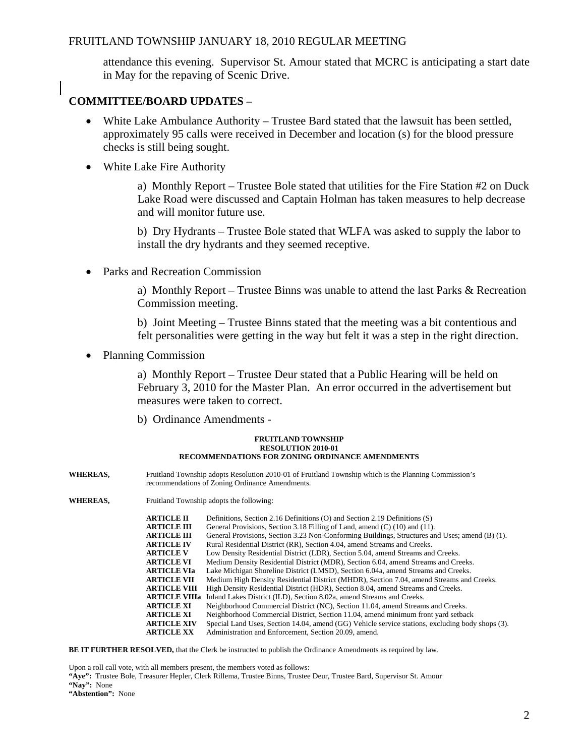attendance this evening. Supervisor St. Amour stated that MCRC is anticipating a start date in May for the repaving of Scenic Drive.

#### **COMMITTEE/BOARD UPDATES –**

- White Lake Ambulance Authority Trustee Bard stated that the lawsuit has been settled, approximately 95 calls were received in December and location (s) for the blood pressure checks is still being sought.
- White Lake Fire Authority

 a) Monthly Report – Trustee Bole stated that utilities for the Fire Station #2 on Duck Lake Road were discussed and Captain Holman has taken measures to help decrease and will monitor future use.

b) Dry Hydrants – Trustee Bole stated that WLFA was asked to supply the labor to install the dry hydrants and they seemed receptive.

• Parks and Recreation Commission

 a) Monthly Report – Trustee Binns was unable to attend the last Parks & Recreation Commission meeting.

b) Joint Meeting – Trustee Binns stated that the meeting was a bit contentious and felt personalities were getting in the way but felt it was a step in the right direction.

Planning Commission

 a) Monthly Report – Trustee Deur stated that a Public Hearing will be held on February 3, 2010 for the Master Plan. An error occurred in the advertisement but measures were taken to correct.

b) Ordinance Amendments -

#### **FRUITLAND TOWNSHIP RESOLUTION 2010-01 RECOMMENDATIONS FOR ZONING ORDINANCE AMENDMENTS**

- **WHEREAS,** Fruitland Township adopts Resolution 2010-01 of Fruitland Township which is the Planning Commission's recommendations of Zoning Ordinance Amendments.
- **WHEREAS,** Fruitland Township adopts the following:

| <b>ARTICLE II</b><br><b>ARTICLE III</b> | Definitions, Section 2.16 Definitions (O) and Section 2.19 Definitions (S)<br>General Provisions, Section 3.18 Filling of Land, amend $(C)$ (10) and (11). |
|-----------------------------------------|------------------------------------------------------------------------------------------------------------------------------------------------------------|
| <b>ARTICLE III</b>                      | General Provisions, Section 3.23 Non-Conforming Buildings, Structures and Uses; amend (B) (1).                                                             |
| <b>ARTICLE IV</b>                       | Rural Residential District (RR), Section 4.04, amend Streams and Creeks.                                                                                   |
| <b>ARTICLE V</b>                        | Low Density Residential District (LDR), Section 5.04, amend Streams and Creeks.                                                                            |
| <b>ARTICLE VI</b>                       | Medium Density Residential District (MDR), Section 6.04, amend Streams and Creeks.                                                                         |
| <b>ARTICLE VIa</b>                      | Lake Michigan Shoreline District (LMSD), Section 6.04a, amend Streams and Creeks.                                                                          |
| <b>ARTICLE VII</b>                      | Medium High Density Residential District (MHDR), Section 7.04, amend Streams and Creeks.                                                                   |
| <b>ARTICLE VIII</b>                     | High Density Residential District (HDR), Section 8.04, amend Streams and Creeks.                                                                           |
| <b>ARTICLE VIIIa</b>                    | Inland Lakes District (ILD), Section 8.02a, amend Streams and Creeks.                                                                                      |
| <b>ARTICLE XI</b>                       | Neighborhood Commercial District (NC), Section 11.04, amend Streams and Creeks.                                                                            |
| <b>ARTICLE XI</b>                       | Neighborhood Commercial District, Section 11.04, amend minimum front yard setback                                                                          |
| <b>ARTICLE XIV</b>                      | Special Land Uses, Section 14.04, amend (GG) Vehicle service stations, excluding body shops (3).                                                           |
| <b>ARTICLE XX</b>                       | Administration and Enforcement. Section 20.09, amend.                                                                                                      |

**BE IT FURTHER RESOLVED,** that the Clerk be instructed to publish the Ordinance Amendments as required by law.

Upon a roll call vote, with all members present, the members voted as follows:

**"Aye":** Trustee Bole, Treasurer Hepler, Clerk Rillema, Trustee Binns, Trustee Deur, Trustee Bard, Supervisor St. Amour

**"Nay":** None

**"Abstention":** None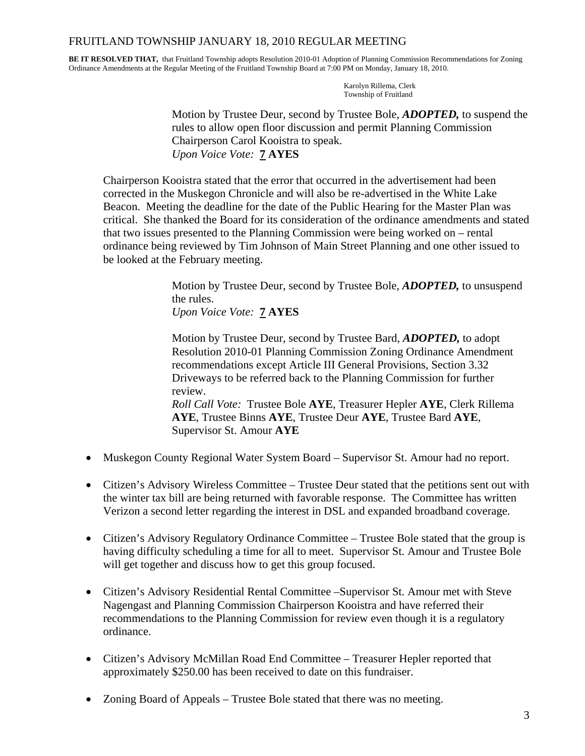**BE IT RESOLVED THAT,** that Fruitland Township adopts Resolution 2010-01 Adoption of Planning Commission Recommendations for Zoning Ordinance Amendments at the Regular Meeting of the Fruitland Township Board at 7:00 PM on Monday, January 18, 2010.

> Karolyn Rillema, Clerk Township of Fruitland

 Motion by Trustee Deur, second by Trustee Bole, *ADOPTED,* to suspend the rules to allow open floor discussion and permit Planning Commission Chairperson Carol Kooistra to speak. *Upon Voice Vote:* **7 AYES** 

 Chairperson Kooistra stated that the error that occurred in the advertisement had been corrected in the Muskegon Chronicle and will also be re-advertised in the White Lake Beacon. Meeting the deadline for the date of the Public Hearing for the Master Plan was critical. She thanked the Board for its consideration of the ordinance amendments and stated that two issues presented to the Planning Commission were being worked on – rental ordinance being reviewed by Tim Johnson of Main Street Planning and one other issued to be looked at the February meeting.

> Motion by Trustee Deur, second by Trustee Bole, *ADOPTED,* to unsuspend the rules. *Upon Voice Vote:* **7 AYES**

 Motion by Trustee Deur, second by Trustee Bard, *ADOPTED,* to adopt Resolution 2010-01 Planning Commission Zoning Ordinance Amendment recommendations except Article III General Provisions, Section 3.32 Driveways to be referred back to the Planning Commission for further review. *Roll Call Vote:* Trustee Bole **AYE**, Treasurer Hepler **AYE**, Clerk Rillema **AYE**, Trustee Binns **AYE**, Trustee Deur **AYE**, Trustee Bard **AYE**, Supervisor St. Amour **AYE**

- Muskegon County Regional Water System Board Supervisor St. Amour had no report.
- Citizen's Advisory Wireless Committee Trustee Deur stated that the petitions sent out with the winter tax bill are being returned with favorable response. The Committee has written Verizon a second letter regarding the interest in DSL and expanded broadband coverage.
- Citizen's Advisory Regulatory Ordinance Committee Trustee Bole stated that the group is having difficulty scheduling a time for all to meet. Supervisor St. Amour and Trustee Bole will get together and discuss how to get this group focused.
- Citizen's Advisory Residential Rental Committee –Supervisor St. Amour met with Steve Nagengast and Planning Commission Chairperson Kooistra and have referred their recommendations to the Planning Commission for review even though it is a regulatory ordinance.
- Citizen's Advisory McMillan Road End Committee Treasurer Hepler reported that approximately \$250.00 has been received to date on this fundraiser.
- Zoning Board of Appeals Trustee Bole stated that there was no meeting.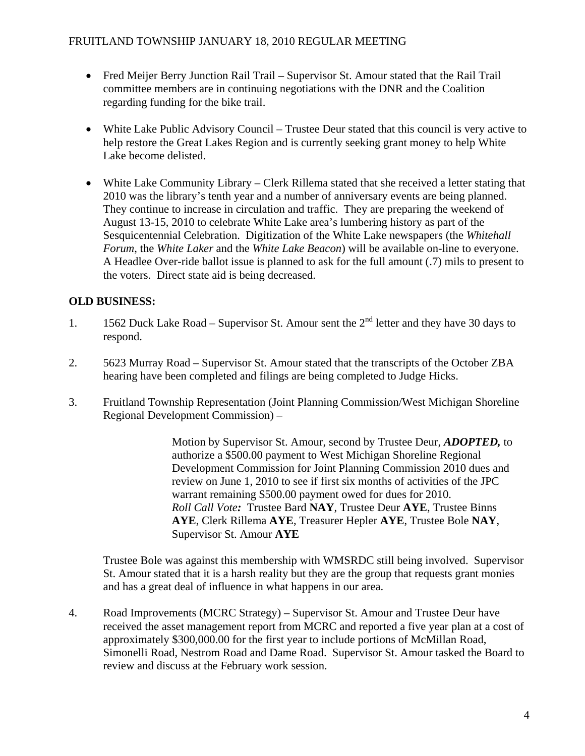- Fred Meijer Berry Junction Rail Trail Supervisor St. Amour stated that the Rail Trail committee members are in continuing negotiations with the DNR and the Coalition regarding funding for the bike trail.
- White Lake Public Advisory Council Trustee Deur stated that this council is very active to help restore the Great Lakes Region and is currently seeking grant money to help White Lake become delisted.
- White Lake Community Library Clerk Rillema stated that she received a letter stating that 2010 was the library's tenth year and a number of anniversary events are being planned. They continue to increase in circulation and traffic. They are preparing the weekend of August 13-15, 2010 to celebrate White Lake area's lumbering history as part of the Sesquicentennial Celebration. Digitization of the White Lake newspapers (the *Whitehall Forum*, the *White Laker* and the *White Lake Beacon*) will be available on-line to everyone. A Headlee Over-ride ballot issue is planned to ask for the full amount (.7) mils to present to the voters. Direct state aid is being decreased.

# **OLD BUSINESS:**

- 1. 1562 Duck Lake Road Supervisor St. Amour sent the  $2<sup>nd</sup>$  letter and they have 30 days to respond.
- 2. 5623 Murray Road Supervisor St. Amour stated that the transcripts of the October ZBA hearing have been completed and filings are being completed to Judge Hicks.
- 3. Fruitland Township Representation (Joint Planning Commission/West Michigan Shoreline Regional Development Commission) –

 Motion by Supervisor St. Amour, second by Trustee Deur, *ADOPTED,* to authorize a \$500.00 payment to West Michigan Shoreline Regional Development Commission for Joint Planning Commission 2010 dues and review on June 1, 2010 to see if first six months of activities of the JPC warrant remaining \$500.00 payment owed for dues for 2010. *Roll Call Vote:* Trustee Bard **NAY**, Trustee Deur **AYE**, Trustee Binns **AYE**, Clerk Rillema **AYE**, Treasurer Hepler **AYE**, Trustee Bole **NAY**, Supervisor St. Amour **AYE** 

 Trustee Bole was against this membership with WMSRDC still being involved. Supervisor St. Amour stated that it is a harsh reality but they are the group that requests grant monies and has a great deal of influence in what happens in our area.

4. Road Improvements (MCRC Strategy) – Supervisor St. Amour and Trustee Deur have received the asset management report from MCRC and reported a five year plan at a cost of approximately \$300,000.00 for the first year to include portions of McMillan Road, Simonelli Road, Nestrom Road and Dame Road. Supervisor St. Amour tasked the Board to review and discuss at the February work session.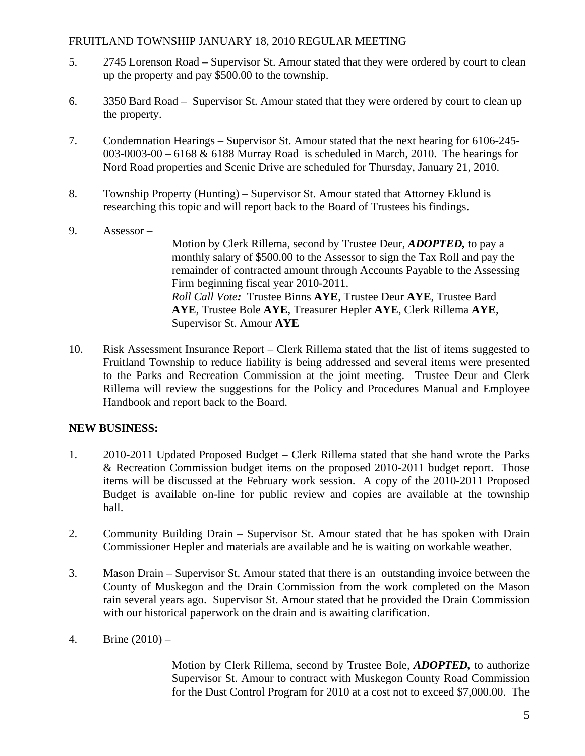- 5. 2745 Lorenson Road Supervisor St. Amour stated that they were ordered by court to clean up the property and pay \$500.00 to the township.
- 6. 3350 Bard Road Supervisor St. Amour stated that they were ordered by court to clean up the property.
- 7. Condemnation Hearings Supervisor St. Amour stated that the next hearing for 6106-245- 003-0003-00 – 6168  $&$  6188 Murray Road is scheduled in March, 2010. The hearings for Nord Road properties and Scenic Drive are scheduled for Thursday, January 21, 2010.
- 8. Township Property (Hunting) Supervisor St. Amour stated that Attorney Eklund is researching this topic and will report back to the Board of Trustees his findings.
- 9. Assessor Motion by Clerk Rillema, second by Trustee Deur, *ADOPTED,* to pay a monthly salary of \$500.00 to the Assessor to sign the Tax Roll and pay the remainder of contracted amount through Accounts Payable to the Assessing Firm beginning fiscal year 2010-2011. *Roll Call Vote:* Trustee Binns **AYE**, Trustee Deur **AYE**, Trustee Bard **AYE**, Trustee Bole **AYE**, Treasurer Hepler **AYE**, Clerk Rillema **AYE**, Supervisor St. Amour **AYE**
- 10. Risk Assessment Insurance Report Clerk Rillema stated that the list of items suggested to Fruitland Township to reduce liability is being addressed and several items were presented to the Parks and Recreation Commission at the joint meeting. Trustee Deur and Clerk Rillema will review the suggestions for the Policy and Procedures Manual and Employee Handbook and report back to the Board.

# **NEW BUSINESS:**

- 1. 2010-2011 Updated Proposed Budget Clerk Rillema stated that she hand wrote the Parks & Recreation Commission budget items on the proposed 2010-2011 budget report. Those items will be discussed at the February work session. A copy of the 2010-2011 Proposed Budget is available on-line for public review and copies are available at the township hall.
- 2. Community Building Drain Supervisor St. Amour stated that he has spoken with Drain Commissioner Hepler and materials are available and he is waiting on workable weather.
- 3. Mason Drain Supervisor St. Amour stated that there is an outstanding invoice between the County of Muskegon and the Drain Commission from the work completed on the Mason rain several years ago. Supervisor St. Amour stated that he provided the Drain Commission with our historical paperwork on the drain and is awaiting clarification.
- 4. Brine (2010) –

 Motion by Clerk Rillema, second by Trustee Bole, *ADOPTED,* to authorize Supervisor St. Amour to contract with Muskegon County Road Commission for the Dust Control Program for 2010 at a cost not to exceed \$7,000.00. The